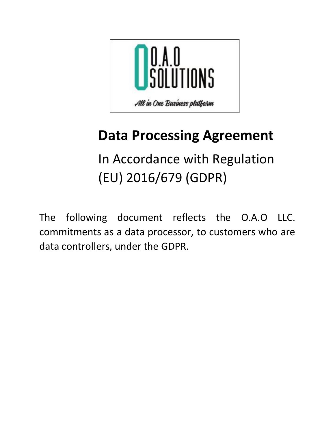

# **Data Processing Agreement**

In Accordance with Regulation (EU) 2016/679 (GDPR)

The following document reflects the O.A.O LLC. commitments as a data processor, to customers who are data controllers, under the GDPR.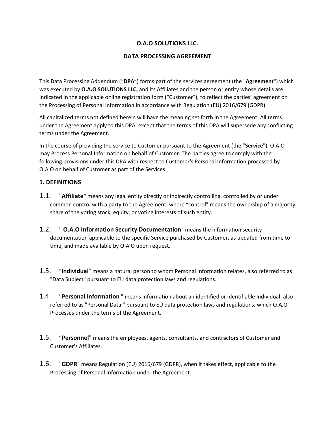## **O.A.O SOLUTIONS LLC.**

## **DATA PROCESSING AGREEMENT**

This Data Processing Addendum ("**DPA**") forms part of the services agreement (the "**Agreemen**t") which was executed by **O.A.O SOLUTIONS LLC,** and its Affiliates and the person or entity whose details are indicated in the applicable online registration form ("Customer"), to reflect the parties' agreement on the Processing of Personal Information in accordance with Regulation (EU) 2016/679 (GDPR)

All capitalized terms not defined herein will have the meaning set forth in the Agreement. All terms under the Agreement apply to this DPA, except that the terms of this DPA will supersede any conflicting terms under the Agreement.

In the course of providing the service to Customer pursuant to the Agreement (the "**Service**"), O.A.O may Process Personal Information on behalf of Customer. The parties agree to comply with the following provisions under this DPA with respect to Customer's Personal Information processed by O.A.O on behalf of Customer as part of the Services.

## **1. DEFINITIONS**

- 1.1. "**Affiliate"** means any legal entity directly or indirectly controlling, controlled by or under common control with a party to the Agreement, where "control" means the ownership of a majority share of the voting stock, equity, or voting interests of such entity.
- 1.2. " **O.A.O Information Security Documentation**" means the information security documentation applicable to the specific Service purchased by Customer, as updated from time to time, and made available by O.A.O upon request.
- 1.3. "**Individua**l" means a natural person to whom Personal Information relates, also referred to as "Data Subject" pursuant to EU data protection laws and regulations.
- 1.4. "**Personal Information** " means information about an identified or identifiable Individual, also referred to as "Personal Data " pursuant to EU data protection laws and regulations, which O.A.O Processes under the terms of the Agreement.
- 1.5. **"Personnel**" means the employees, agents, consultants, and contractors of Customer and Customer's Affiliates.
- 1.6. "**GDPR**" means Regulation (EU) 2016/679 (GDPR), when it takes effect, applicable to the Processing of Personal Information under the Agreement.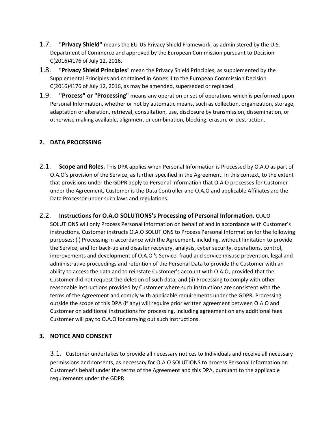- 1.7. **"Privacy Shield"** means the EU-US Privacy Shield Framework, as administered by the U.S. Department of Commerce and approved by the European Commission pursuant to Decision C(2016)4176 of July 12, 2016.
- 1.8. "**Privacy Shield Principles**" mean the Privacy Shield Principles, as supplemented by the Supplemental Principles and contained in Annex II to the European Commission Decision C(2016)4176 of July 12, 2016, as may be amended, superseded or replaced.
- 1.9. **"Process" or "Processing"** means any operation or set of operations which is performed upon Personal Information, whether or not by automatic means, such as collection, organization, storage, adaptation or alteration, retrieval, consultation, use, disclosure by transmission, dissemination, or otherwise making available, alignment or combination, blocking, erasure or destruction.

## **2. DATA PROCESSING**

- 2.1. **Scope and Roles.** This DPA applies when Personal Information is Processed by O.A.O as part of O.A.O's provision of the Service, as further specified in the Agreement. In this context, to the extent that provisions under the GDPR apply to Personal Information that O.A.O processes for Customer under the Agreement, Customer is the Data Controller and O.A.O and applicable Affiliates are the Data Processor under such laws and regulations.
- 2.2. **Instructions for O.A.O SOLUTIONS's Processing of Personal Information.** O.A.O SOLUTIONS will only Process Personal Information on behalf of and in accordance with Customer's instructions. Customer instructs O.A.O SOLUTIONS to Process Personal Information for the following purposes: (i) Processing in accordance with the Agreement, including, without limitation to provide the Service, and for back-up and disaster recovery, analysis, cyber security, operations, control, improvements and development of O.A.O 's Service, fraud and service misuse prevention, legal and administrative proceedings and retention of the Personal Data to provide the Customer with an ability to access the data and to reinstate Customer's account with O.A.O, provided that the Customer did not request the deletion of such data; and (ii) Processing to comply with other reasonable instructions provided by Customer where such instructions are consistent with the terms of the Agreement and comply with applicable requirements under the GDPR. Processing outside the scope of this DPA (if any) will require prior written agreement between O.A.O and Customer on additional instructions for processing, including agreement on any additional fees Customer will pay to O.A.O for carrying out such instructions.

## **3. NOTICE AND CONSENT**

3.1. Customer undertakes to provide all necessary notices to Individuals and receive all necessary permissions and consents, as necessary for O.A.O SOLUTIONS to process Personal Information on Customer's behalf under the terms of the Agreement and this DPA, pursuant to the applicable requirements under the GDPR.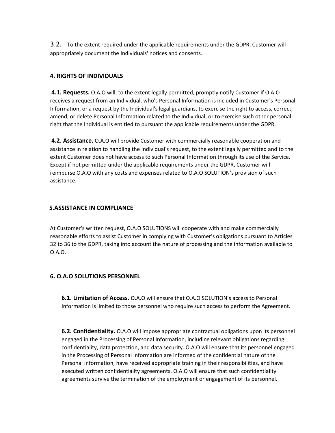3.2. To the extent required under the applicable requirements under the GDPR, Customer will appropriately document the Individuals' notices and consents.

#### **4. RIGHTS OF INDIVIDUALS**

**4.1. Requests.** O.A.O will, to the extent legally permitted, promptly notify Customer if O.A.O receives a request from an Individual, who's Personal Information is included in Customer's Personal Information, or a request by the Individual's legal guardians, to exercise the right to access, correct, amend, or delete Personal Information related to the Individual, or to exercise such other personal right that the Individual is entitled to pursuant the applicable requirements under the GDPR.

**4.2. Assistance.** O.A.O will provide Customer with commercially reasonable cooperation and assistance in relation to handling the Individual's request, to the extent legally permitted and to the extent Customer does not have access to such Personal Information through its use of the Service. Except if not permitted under the applicable requirements under the GDPR, Customer will reimburse O.A.O with any costs and expenses related to O.A.O SOLUTION's provision of such assistance.

## **5.ASSISTANCE IN COMPLIANCE**

At Customer's written request, O.A.O SOLUTIONS will cooperate with and make commercially reasonable efforts to assist Customer in complying with Customer's obligations pursuant to Articles 32 to 36 to the GDPR, taking into account the nature of processing and the information available to O.A.O.

## **6. O.A.O SOLUTIONS PERSONNEL**

**6.1. Limitation of Access.** O.A.O will ensure that O.A.O SOLUTION's access to Personal Information is limited to those personnel who require such access to perform the Agreement.

**6.2. Confidentiality.** O.A.O will impose appropriate contractual obligations upon its personnel engaged in the Processing of Personal Information, including relevant obligations regarding confidentiality, data protection, and data security. O.A.O will ensure that its personnel engaged in the Processing of Personal Information are informed of the confidential nature of the Personal Information, have received appropriate training in their responsibilities, and have executed written confidentiality agreements. O.A.O will ensure that such confidentiality agreements survive the termination of the employment or engagement of its personnel.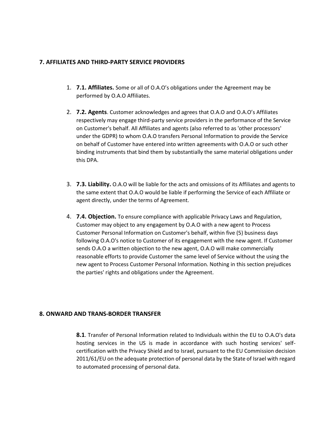#### **7. AFFILIATES AND THIRD-PARTY SERVICE PROVIDERS**

- 1. **7.1. Affiliates.** Some or all of O.A.O's obligations under the Agreement may be performed by O.A.O Affiliates.
- 2. **7.2. Agents**. Customer acknowledges and agrees that O.A.O and O.A.O's Affiliates respectively may engage third-party service providers in the performance of the Service on Customer's behalf. All Affiliates and agents (also referred to as 'other processors' under the GDPR) to whom O.A.O transfers Personal Information to provide the Service on behalf of Customer have entered into written agreements with O.A.O or such other binding instruments that bind them by substantially the same material obligations under this DPA.
- 3. **7.3. Liability.** O.A.O will be liable for the acts and omissions of its Affiliates and agents to the same extent that O.A.O would be liable if performing the Service of each Affiliate or agent directly, under the terms of Agreement.
- 4. **7.4. Objection.** To ensure compliance with applicable Privacy Laws and Regulation, Customer may object to any engagement by O.A.O with a new agent to Process Customer Personal Information on Customer's behalf, within five (5) business days following O.A.O's notice to Customer of its engagement with the new agent. If Customer sends O.A.O a written objection to the new agent, O.A.O will make commercially reasonable efforts to provide Customer the same level of Service without the using the new agent to Process Customer Personal Information. Nothing in this section prejudices the parties' rights and obligations under the Agreement.

## **8. ONWARD AND TRANS-BORDER TRANSFER**

**8.1**. Transfer of Personal Information related to Individuals within the EU to O.A.O's data hosting services in the US is made in accordance with such hosting services' selfcertification with the Privacy Shield and to Israel, pursuant to the EU Commission decision 2011/61/EU on the adequate protection of personal data by the State of Israel with regard to automated processing of personal data.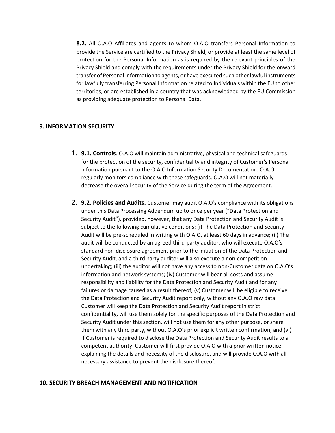**8.2.** All O.A.O Affiliates and agents to whom O.A.O transfers Personal Information to provide the Service are certified to the Privacy Shield, or provide at least the same level of protection for the Personal Information as is required by the relevant principles of the Privacy Shield and comply with the requirements under the Privacy Shield for the onward transfer of Personal Information to agents, or have executed such other lawful instruments for lawfully transferring Personal Information related to Individuals within the EU to other territories, or are established in a country that was acknowledged by the EU Commission as providing adequate protection to Personal Data.

## **9. INFORMATION SECURITY**

- 1. **9.1. Controls**. O.A.O will maintain administrative, physical and technical safeguards for the protection of the security, confidentiality and integrity of Customer's Personal Information pursuant to the O.A.O Information Security Documentation. O.A.O regularly monitors compliance with these safeguards. O.A.O will not materially decrease the overall security of the Service during the term of the Agreement.
- 2. **9.2. Policies and Audits.** Customer may audit O.A.O's compliance with its obligations under this Data Processing Addendum up to once per year ("Data Protection and Security Audit"), provided, however, that any Data Protection and Security Audit is subject to the following cumulative conditions: (i) The Data Protection and Security Audit will be pre-scheduled in writing with O.A.O, at least 60 days in advance; (ii) The audit will be conducted by an agreed third-party auditor, who will execute O.A.O's standard non-disclosure agreement prior to the initiation of the Data Protection and Security Audit, and a third party auditor will also execute a non-competition undertaking; (iii) the auditor will not have any access to non-Customer data on O.A.O's information and network systems; (iv) Customer will bear all costs and assume responsibility and liability for the Data Protection and Security Audit and for any failures or damage caused as a result thereof; (v) Customer will be eligible to receive the Data Protection and Security Audit report only, without any O.A.O raw data. Customer will keep the Data Protection and Security Audit report in strict confidentiality, will use them solely for the specific purposes of the Data Protection and Security Audit under this section, will not use them for any other purpose, or share them with any third party, without O.A.O's prior explicit written confirmation; and (vi) If Customer is required to disclose the Data Protection and Security Audit results to a competent authority, Customer will first provide O.A.O with a prior written notice, explaining the details and necessity of the disclosure, and will provide O.A.O with all necessary assistance to prevent the disclosure thereof.

#### **10. SECURITY BREACH MANAGEMENT AND NOTIFICATION**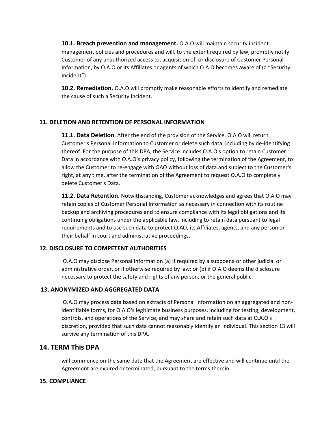**10.1. Breach prevention and management.** O.A.O will maintain security incident management policies and procedures and will, to the extent required by law, promptly notify Customer of any unauthorized access to, acquisition of, or disclosure of Customer Personal Information, by O.A.O or its Affiliates or agents of which O.A.O becomes aware of (a "Security Incident").

**10.2. Remediation.** O.A.O will promptly make reasonable efforts to identify and remediate the cause of such a Security Incident.

## **11. DELETION AND RETENTION OF PERSONAL INFORMATION**

**11.1. Data Deletion**. After the end of the provision of the Service, O.A.O will return Customer's Personal Information to Customer or delete such data, including by de-identifying thereof. For the purpose of this DPA, the Service includes O.A.O's option to retain Customer Data in accordance with O.A.O's privacy policy, following the termination of the Agreement, to allow the Customer to re-engage with OAO without loss of data and subject to the Customer's right, at any time, after the termination of the Agreement to request O.A.O to completely delete Customer's Data.

**11.2. Data Retention**. Notwithstanding, Customer acknowledges and agrees that O.A.O may retain copies of Customer Personal Information as necessary in connection with its routine backup and archiving procedures and to ensure compliance with its legal obligations and its continuing obligations under the applicable law, including to retain data pursuant to legal requirements and to use such data to protect O.AO, its Affiliates, agents, and any person on their behalf in court and administrative proceedings.

#### **12. DISCLOSURE TO COMPETENT AUTHORITIES**

O.A.O may disclose Personal Information (a) if required by a subpoena or other judicial or administrative order, or if otherwise required by law; or (b) if O.A.O deems the disclosure necessary to protect the safety and rights of any person, or the general public.

#### **13. ANONYMIZED AND AGGREGATED DATA**

O.A.O may process data based on extracts of Personal Information on an aggregated and nonidentifiable forms, for O.A.O's legitimate business purposes, including for testing, development, controls, and operations of the Service, and may share and retain such data at O.A.O's discretion, provided that such data cannot reasonably identify an Individual. This section 13 will survive any termination of this DPA.

## **14. TERM This DPA**

will commence on the same date that the Agreement are effective and will continue until the Agreement are expired or terminated, pursuant to the terms therein.

#### **15. COMPLIANCE**